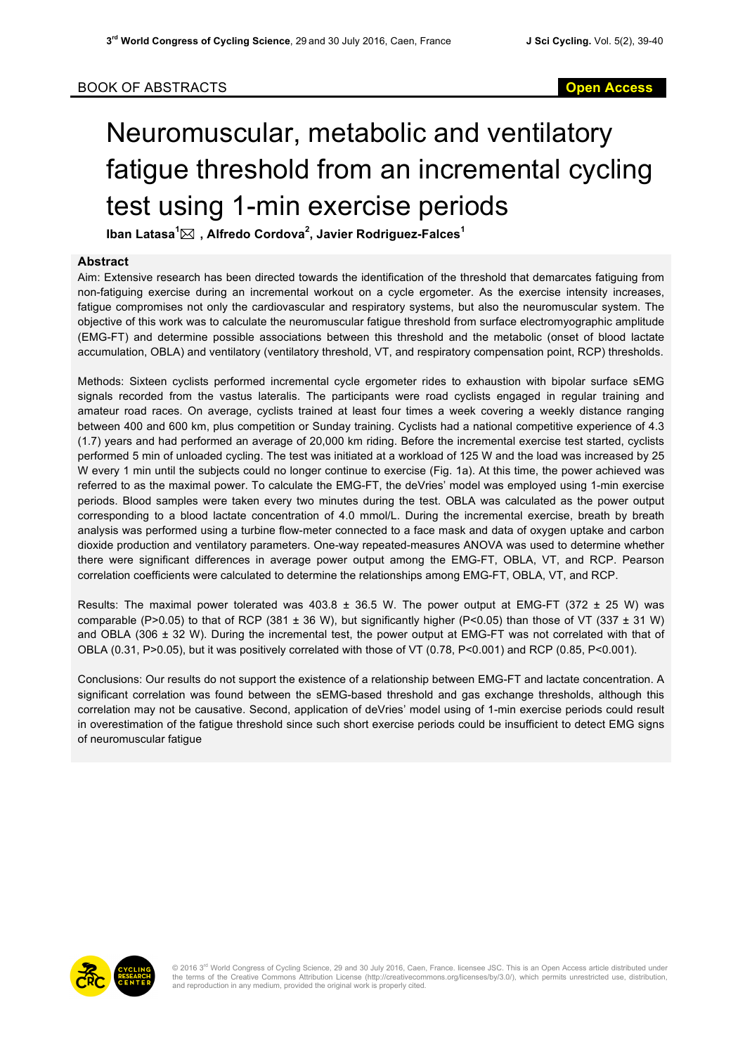## Neuromuscular, metabolic and ventilatory fatigue threshold from an incremental cycling test using 1-min exercise periods

**Iban Latasa<sup>1</sup>** \* **, Alfredo Cordova<sup>2</sup> , Javier Rodriguez-Falces<sup>1</sup>**

## **Abstract**

Aim: Extensive research has been directed towards the identification of the threshold that demarcates fatiguing from non-fatiguing exercise during an incremental workout on a cycle ergometer. As the exercise intensity increases, fatigue compromises not only the cardiovascular and respiratory systems, but also the neuromuscular system. The objective of this work was to calculate the neuromuscular fatigue threshold from surface electromyographic amplitude (EMG-FT) and determine possible associations between this threshold and the metabolic (onset of blood lactate accumulation, OBLA) and ventilatory (ventilatory threshold, VT, and respiratory compensation point, RCP) thresholds.

Methods: Sixteen cyclists performed incremental cycle ergometer rides to exhaustion with bipolar surface sEMG signals recorded from the vastus lateralis. The participants were road cyclists engaged in regular training and amateur road races. On average, cyclists trained at least four times a week covering a weekly distance ranging between 400 and 600 km, plus competition or Sunday training. Cyclists had a national competitive experience of 4.3 (1.7) years and had performed an average of 20,000 km riding. Before the incremental exercise test started, cyclists performed 5 min of unloaded cycling. The test was initiated at a workload of 125 W and the load was increased by 25 W every 1 min until the subjects could no longer continue to exercise (Fig. 1a). At this time, the power achieved was referred to as the maximal power. To calculate the EMG-FT, the deVries' model was employed using 1-min exercise periods. Blood samples were taken every two minutes during the test. OBLA was calculated as the power output corresponding to a blood lactate concentration of 4.0 mmol/L. During the incremental exercise, breath by breath analysis was performed using a turbine flow-meter connected to a face mask and data of oxygen uptake and carbon dioxide production and ventilatory parameters. One-way repeated-measures ANOVA was used to determine whether there were significant differences in average power output among the EMG-FT, OBLA, VT, and RCP. Pearson correlation coefficients were calculated to determine the relationships among EMG-FT, OBLA, VT, and RCP.

Results: The maximal power tolerated was  $403.8 \pm 36.5$  W. The power output at EMG-FT (372  $\pm$  25 W) was comparable (P>0.05) to that of RCP (381  $\pm$  36 W), but significantly higher (P<0.05) than those of VT (337  $\pm$  31 W) and OBLA (306 ± 32 W). During the incremental test, the power output at EMG-FT was not correlated with that of OBLA (0.31, P>0.05), but it was positively correlated with those of VT (0.78, P<0.001) and RCP (0.85, P<0.001).

Conclusions: Our results do not support the existence of a relationship between EMG-FT and lactate concentration. A significant correlation was found between the sEMG-based threshold and gas exchange thresholds, although this correlation may not be causative. Second, application of deVries' model using of 1-min exercise periods could result in overestimation of the fatigue threshold since such short exercise periods could be insufficient to detect EMG signs of neuromuscular fatigue